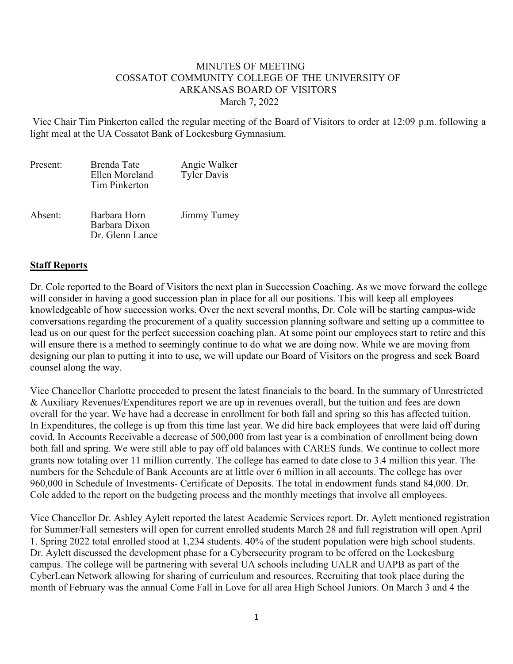## MINUTES OF MEETING COSSATOT COMMUNITY COLLEGE OF THE UNIVERSITY OF ARKANSAS BOARD OF VISITORS March 7, 2022

Vice Chair Tim Pinkerton called the regular meeting of the Board of Visitors to order at 12:09 p.m. following a light meal at the UA Cossatot Bank of Lockesburg Gymnasium.

| Present: | Brenda Tate<br>Ellen Moreland<br><b>Tim Pinkerton</b> | Angie Walker<br><b>Tyler Davis</b> |
|----------|-------------------------------------------------------|------------------------------------|
| Absent:  | Barbara Horn<br>Barbara Dixon<br>Dr. Glenn Lance      | Jimmy Tumey                        |

## **Staff Reports**

Dr. Cole reported to the Board of Visitors the next plan in Succession Coaching. As we move forward the college will consider in having a good succession plan in place for all our positions. This will keep all employees knowledgeable of how succession works. Over the next several months, Dr. Cole will be starting campus-wide conversations regarding the procurement of a quality succession planning software and setting up a committee to lead us on our quest for the perfect succession coaching plan. At some point our employees start to retire and this will ensure there is a method to seemingly continue to do what we are doing now. While we are moving from designing our plan to putting it into to use, we will update our Board of Visitors on the progress and seek Board counsel along the way.

Vice Chancellor Charlotte proceeded to present the latest financials to the board. In the summary of Unrestricted & Auxiliary Revenues/Expenditures report we are up in revenues overall, but the tuition and fees are down overall for the year. We have had a decrease in enrollment for both fall and spring so this has affected tuition. In Expenditures, the college is up from this time last year. We did hire back employees that were laid off during covid. In Accounts Receivable a decrease of 500,000 from last year is a combination of enrollment being down both fall and spring. We were still able to pay off old balances with CARES funds. We continue to collect more grants now totaling over 11 million currently. The college has earned to date close to 3.4 million this year. The numbers for the Schedule of Bank Accounts are at little over 6 million in all accounts. The college has over 960,000 in Schedule of Investments- Certificate of Deposits. The total in endowment funds stand 84,000. Dr. Cole added to the report on the budgeting process and the monthly meetings that involve all employees.

Vice Chancellor Dr. Ashley Aylett reported the latest Academic Services report. Dr. Aylett mentioned registration for Summer/Fall semesters will open for current enrolled students March 28 and full registration will open April 1. Spring 2022 total enrolled stood at 1,234 students. 40% of the student population were high school students. Dr. Aylett discussed the development phase for a Cybersecurity program to be offered on the Lockesburg campus. The college will be partnering with several UA schools including UALR and UAPB as part of the CyberLean Network allowing for sharing of curriculum and resources. Recruiting that took place during the month of February was the annual Come Fall in Love for all area High School Juniors. On March 3 and 4 the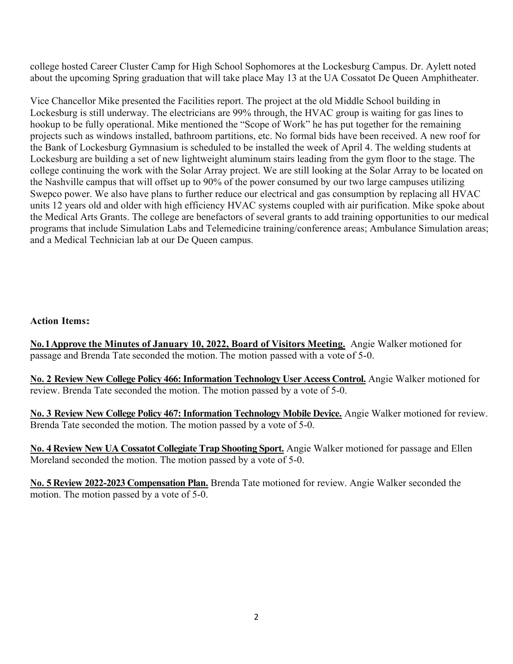college hosted Career Cluster Camp for High School Sophomores at the Lockesburg Campus. Dr. Aylett noted about the upcoming Spring graduation that will take place May 13 at the UA Cossatot De Queen Amphitheater.

Vice Chancellor Mike presented the Facilities report. The project at the old Middle School building in Lockesburg is still underway. The electricians are 99% through, the HVAC group is waiting for gas lines to hookup to be fully operational. Mike mentioned the "Scope of Work" he has put together for the remaining projects such as windows installed, bathroom partitions, etc. No formal bids have been received. A new roof for the Bank of Lockesburg Gymnasium is scheduled to be installed the week of April 4. The welding students at Lockesburg are building a set of new lightweight aluminum stairs leading from the gym floor to the stage. The college continuing the work with the Solar Array project. We are still looking at the Solar Array to be located on the Nashville campus that will offset up to 90% of the power consumed by our two large campuses utilizing Swepco power. We also have plans to further reduce our electrical and gas consumption by replacing all HVAC units 12 years old and older with high efficiency HVAC systems coupled with air purification. Mike spoke about the Medical Arts Grants. The college are benefactors of several grants to add training opportunities to our medical programs that include Simulation Labs and Telemedicine training/conference areas; Ambulance Simulation areas; and a Medical Technician lab at our De Queen campus.

## **Action Items:**

**No.1Approve the Minutes of January 10, 2022, Board of Visitors Meeting.** Angie Walker motioned for passage and Brenda Tate seconded the motion. The motion passed with a vote of 5-0.

**No. 2 Review New College Policy 466: Information Technology User Access Control.** Angie Walker motioned for review. Brenda Tate seconded the motion. The motion passed by a vote of 5-0.

**No. 3 Review New College Policy 467: Information Technology Mobile Device.** Angie Walker motioned for review. Brenda Tate seconded the motion. The motion passed by a vote of 5-0.

**No. 4 Review New UA Cossatot Collegiate Trap Shooting Sport.** Angie Walker motioned for passage and Ellen Moreland seconded the motion. The motion passed by a vote of 5-0.

**No. 5 Review 2022-2023 Compensation Plan.** Brenda Tate motioned for review. Angie Walker seconded the motion. The motion passed by a vote of 5-0.